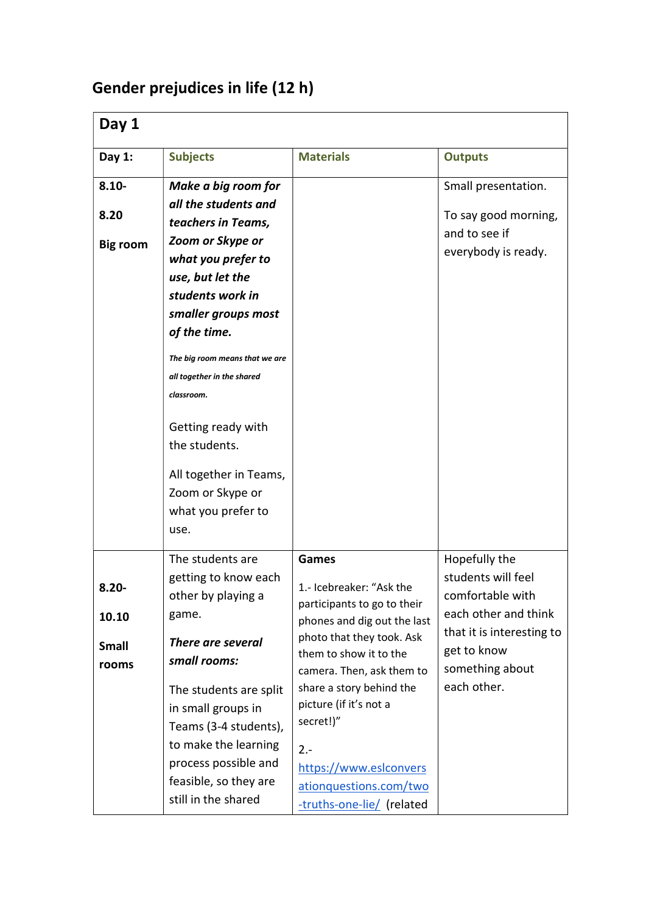## Gender prejudices in life (12 h)

| Day 1                                      |                                                                                                                                                                                                                                                                                                                                                                                     |                                                                                                                                                                                                                                                                                                                     |                                                                                                                                                               |  |
|--------------------------------------------|-------------------------------------------------------------------------------------------------------------------------------------------------------------------------------------------------------------------------------------------------------------------------------------------------------------------------------------------------------------------------------------|---------------------------------------------------------------------------------------------------------------------------------------------------------------------------------------------------------------------------------------------------------------------------------------------------------------------|---------------------------------------------------------------------------------------------------------------------------------------------------------------|--|
| Day 1:                                     | <b>Subjects</b>                                                                                                                                                                                                                                                                                                                                                                     | <b>Materials</b>                                                                                                                                                                                                                                                                                                    | <b>Outputs</b>                                                                                                                                                |  |
| $8.10 -$<br>8.20<br><b>Big room</b>        | Make a big room for<br>all the students and<br>teachers in Teams,<br>Zoom or Skype or<br>what you prefer to<br>use, but let the<br>students work in<br>smaller groups most<br>of the time.<br>The big room means that we are<br>all together in the shared<br>classroom.<br>Getting ready with<br>the students.<br>All together in Teams,<br>Zoom or Skype or<br>what you prefer to |                                                                                                                                                                                                                                                                                                                     | Small presentation.<br>To say good morning,<br>and to see if<br>everybody is ready.                                                                           |  |
| $8.20 -$<br>10.10<br><b>Small</b><br>rooms | The students are<br>getting to know each<br>other by playing a<br>game.<br>There are several<br>small rooms:<br>The students are split<br>in small groups in<br>Teams (3-4 students),<br>to make the learning<br>process possible and<br>feasible, so they are<br>still in the shared                                                                                               | Games<br>1.- Icebreaker: "Ask the<br>participants to go to their<br>phones and dig out the last<br>photo that they took. Ask<br>them to show it to the<br>camera. Then, ask them to<br>share a story behind the<br>picture (if it's not a<br>secret!)"<br>$2 -$<br>https://www.esiconvers<br>ationquestions.com/two | Hopefully the<br>students will feel<br>comfortable with<br>each other and think<br>that it is interesting to<br>get to know<br>something about<br>each other. |  |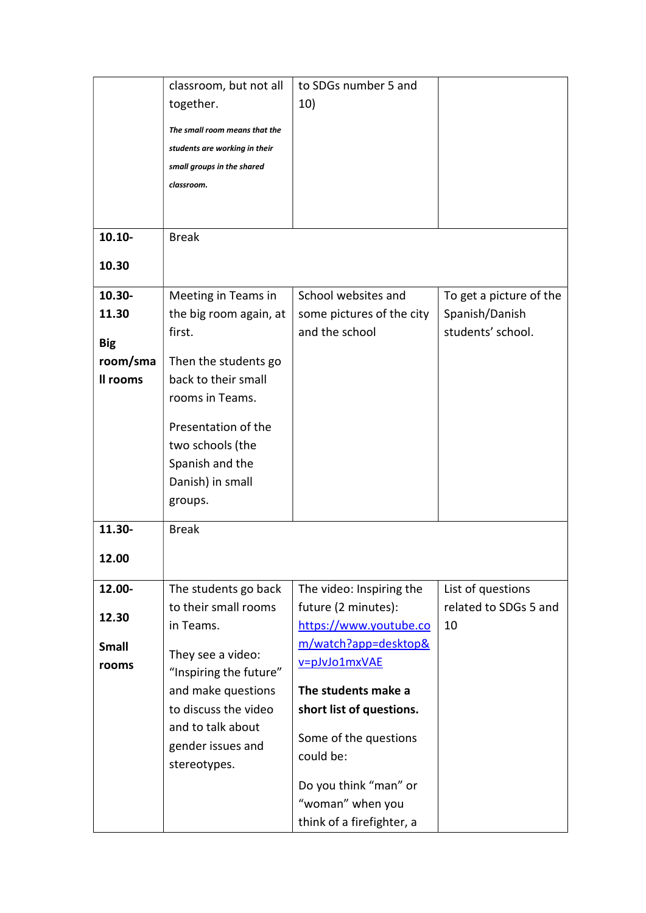|                        | classroom, but not all        | to SDGs number 5 and      |                         |
|------------------------|-------------------------------|---------------------------|-------------------------|
|                        | together.                     | 10)                       |                         |
|                        | The small room means that the |                           |                         |
|                        | students are working in their |                           |                         |
|                        | small groups in the shared    |                           |                         |
|                        | classroom.                    |                           |                         |
|                        |                               |                           |                         |
|                        |                               |                           |                         |
| $10.10 -$              | <b>Break</b>                  |                           |                         |
|                        |                               |                           |                         |
| 10.30                  |                               |                           |                         |
| $10.30 -$              | Meeting in Teams in           | School websites and       | To get a picture of the |
| 11.30                  | the big room again, at        | some pictures of the city | Spanish/Danish          |
|                        | first.                        | and the school            | students' school.       |
| <b>Big</b><br>room/sma | Then the students go          |                           |                         |
| Il rooms               | back to their small           |                           |                         |
|                        | rooms in Teams.               |                           |                         |
|                        |                               |                           |                         |
|                        | Presentation of the           |                           |                         |
|                        | two schools (the              |                           |                         |
|                        | Spanish and the               |                           |                         |
|                        | Danish) in small              |                           |                         |
|                        | groups.                       |                           |                         |
| 11.30-                 | <b>Break</b>                  |                           |                         |
|                        |                               |                           |                         |
| 12.00                  |                               |                           |                         |
| 12.00-                 | The students go back          | The video: Inspiring the  | List of questions       |
|                        | to their small rooms          | future (2 minutes):       | related to SDGs 5 and   |
| 12.30                  | in Teams.                     | https://www.youtube.co    | 10                      |
| <b>Small</b>           | They see a video:             | m/watch?app=desktop&      |                         |
| rooms                  | "Inspiring the future"        | v=pJvJo1mxVAE             |                         |
|                        | and make questions            | The students make a       |                         |
|                        | to discuss the video          | short list of questions.  |                         |
|                        | and to talk about             |                           |                         |
|                        | gender issues and             | Some of the questions     |                         |
|                        | stereotypes.                  | could be:                 |                         |
|                        |                               | Do you think "man" or     |                         |
|                        |                               | "woman" when you          |                         |
|                        |                               | think of a firefighter, a |                         |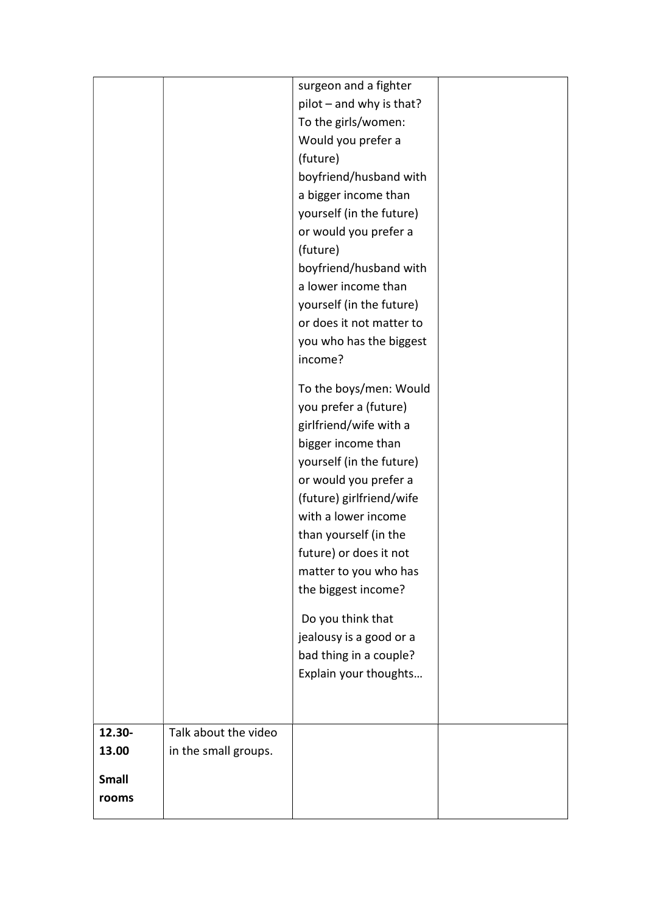|              |                      | surgeon and a fighter    |  |
|--------------|----------------------|--------------------------|--|
|              |                      | pilot - and why is that? |  |
|              |                      | To the girls/women:      |  |
|              |                      | Would you prefer a       |  |
|              |                      | (future)                 |  |
|              |                      | boyfriend/husband with   |  |
|              |                      | a bigger income than     |  |
|              |                      | yourself (in the future) |  |
|              |                      | or would you prefer a    |  |
|              |                      | (future)                 |  |
|              |                      | boyfriend/husband with   |  |
|              |                      | a lower income than      |  |
|              |                      | yourself (in the future) |  |
|              |                      | or does it not matter to |  |
|              |                      | you who has the biggest  |  |
|              |                      | income?                  |  |
|              |                      | To the boys/men: Would   |  |
|              |                      | you prefer a (future)    |  |
|              |                      | girlfriend/wife with a   |  |
|              |                      | bigger income than       |  |
|              |                      | yourself (in the future) |  |
|              |                      | or would you prefer a    |  |
|              |                      | (future) girlfriend/wife |  |
|              |                      | with a lower income      |  |
|              |                      | than yourself (in the    |  |
|              |                      | future) or does it not   |  |
|              |                      | matter to you who has    |  |
|              |                      | the biggest income?      |  |
|              |                      | Do you think that        |  |
|              |                      | jealousy is a good or a  |  |
|              |                      | bad thing in a couple?   |  |
|              |                      | Explain your thoughts    |  |
|              |                      |                          |  |
|              |                      |                          |  |
| 12.30-       | Talk about the video |                          |  |
| 13.00        | in the small groups. |                          |  |
| <b>Small</b> |                      |                          |  |
|              |                      |                          |  |
| rooms        |                      |                          |  |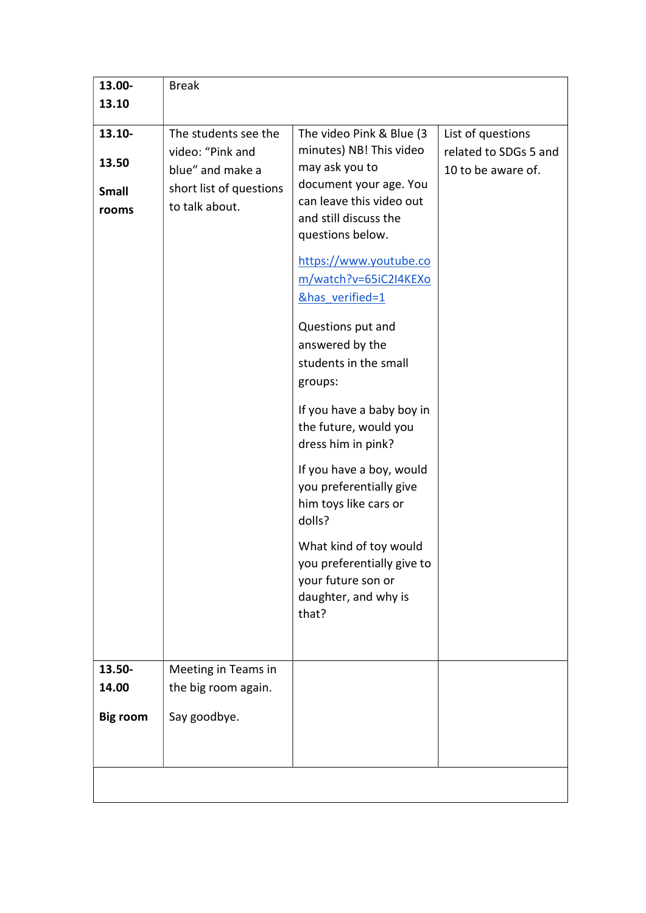| 13.10<br>The students see the<br>13.10-<br>The video Pink & Blue (3)<br>List of questions<br>minutes) NB! This video<br>video: "Pink and<br>related to SDGs 5 and<br>13.50<br>may ask you to<br>blue" and make a<br>10 to be aware of.<br>document your age. You<br>short list of questions<br><b>Small</b><br>can leave this video out<br>to talk about.<br>rooms<br>and still discuss the<br>questions below.<br>https://www.youtube.co<br>m/watch?v=65iC2I4KEXo<br>&has verified=1<br>Questions put and<br>answered by the<br>students in the small<br>groups:<br>If you have a baby boy in<br>the future, would you<br>dress him in pink?<br>If you have a boy, would<br>you preferentially give<br>him toys like cars or<br>dolls?<br>What kind of toy would<br>you preferentially give to<br>your future son or<br>daughter, and why is<br>that?<br>13.50-<br>Meeting in Teams in<br>the big room again.<br>14.00<br>Say goodbye.<br><b>Big room</b> | 13.00- | <b>Break</b> |  |
|------------------------------------------------------------------------------------------------------------------------------------------------------------------------------------------------------------------------------------------------------------------------------------------------------------------------------------------------------------------------------------------------------------------------------------------------------------------------------------------------------------------------------------------------------------------------------------------------------------------------------------------------------------------------------------------------------------------------------------------------------------------------------------------------------------------------------------------------------------------------------------------------------------------------------------------------------------|--------|--------------|--|
|                                                                                                                                                                                                                                                                                                                                                                                                                                                                                                                                                                                                                                                                                                                                                                                                                                                                                                                                                            |        |              |  |
|                                                                                                                                                                                                                                                                                                                                                                                                                                                                                                                                                                                                                                                                                                                                                                                                                                                                                                                                                            |        |              |  |
|                                                                                                                                                                                                                                                                                                                                                                                                                                                                                                                                                                                                                                                                                                                                                                                                                                                                                                                                                            |        |              |  |
|                                                                                                                                                                                                                                                                                                                                                                                                                                                                                                                                                                                                                                                                                                                                                                                                                                                                                                                                                            |        |              |  |
|                                                                                                                                                                                                                                                                                                                                                                                                                                                                                                                                                                                                                                                                                                                                                                                                                                                                                                                                                            |        |              |  |
|                                                                                                                                                                                                                                                                                                                                                                                                                                                                                                                                                                                                                                                                                                                                                                                                                                                                                                                                                            |        |              |  |
|                                                                                                                                                                                                                                                                                                                                                                                                                                                                                                                                                                                                                                                                                                                                                                                                                                                                                                                                                            |        |              |  |
|                                                                                                                                                                                                                                                                                                                                                                                                                                                                                                                                                                                                                                                                                                                                                                                                                                                                                                                                                            |        |              |  |
|                                                                                                                                                                                                                                                                                                                                                                                                                                                                                                                                                                                                                                                                                                                                                                                                                                                                                                                                                            |        |              |  |
|                                                                                                                                                                                                                                                                                                                                                                                                                                                                                                                                                                                                                                                                                                                                                                                                                                                                                                                                                            |        |              |  |
|                                                                                                                                                                                                                                                                                                                                                                                                                                                                                                                                                                                                                                                                                                                                                                                                                                                                                                                                                            |        |              |  |
|                                                                                                                                                                                                                                                                                                                                                                                                                                                                                                                                                                                                                                                                                                                                                                                                                                                                                                                                                            |        |              |  |
|                                                                                                                                                                                                                                                                                                                                                                                                                                                                                                                                                                                                                                                                                                                                                                                                                                                                                                                                                            |        |              |  |
|                                                                                                                                                                                                                                                                                                                                                                                                                                                                                                                                                                                                                                                                                                                                                                                                                                                                                                                                                            |        |              |  |
|                                                                                                                                                                                                                                                                                                                                                                                                                                                                                                                                                                                                                                                                                                                                                                                                                                                                                                                                                            |        |              |  |
|                                                                                                                                                                                                                                                                                                                                                                                                                                                                                                                                                                                                                                                                                                                                                                                                                                                                                                                                                            |        |              |  |
|                                                                                                                                                                                                                                                                                                                                                                                                                                                                                                                                                                                                                                                                                                                                                                                                                                                                                                                                                            |        |              |  |
|                                                                                                                                                                                                                                                                                                                                                                                                                                                                                                                                                                                                                                                                                                                                                                                                                                                                                                                                                            |        |              |  |
|                                                                                                                                                                                                                                                                                                                                                                                                                                                                                                                                                                                                                                                                                                                                                                                                                                                                                                                                                            |        |              |  |
|                                                                                                                                                                                                                                                                                                                                                                                                                                                                                                                                                                                                                                                                                                                                                                                                                                                                                                                                                            |        |              |  |
|                                                                                                                                                                                                                                                                                                                                                                                                                                                                                                                                                                                                                                                                                                                                                                                                                                                                                                                                                            |        |              |  |
|                                                                                                                                                                                                                                                                                                                                                                                                                                                                                                                                                                                                                                                                                                                                                                                                                                                                                                                                                            |        |              |  |
|                                                                                                                                                                                                                                                                                                                                                                                                                                                                                                                                                                                                                                                                                                                                                                                                                                                                                                                                                            |        |              |  |
|                                                                                                                                                                                                                                                                                                                                                                                                                                                                                                                                                                                                                                                                                                                                                                                                                                                                                                                                                            |        |              |  |
|                                                                                                                                                                                                                                                                                                                                                                                                                                                                                                                                                                                                                                                                                                                                                                                                                                                                                                                                                            |        |              |  |
|                                                                                                                                                                                                                                                                                                                                                                                                                                                                                                                                                                                                                                                                                                                                                                                                                                                                                                                                                            |        |              |  |
|                                                                                                                                                                                                                                                                                                                                                                                                                                                                                                                                                                                                                                                                                                                                                                                                                                                                                                                                                            |        |              |  |
|                                                                                                                                                                                                                                                                                                                                                                                                                                                                                                                                                                                                                                                                                                                                                                                                                                                                                                                                                            |        |              |  |
|                                                                                                                                                                                                                                                                                                                                                                                                                                                                                                                                                                                                                                                                                                                                                                                                                                                                                                                                                            |        |              |  |
|                                                                                                                                                                                                                                                                                                                                                                                                                                                                                                                                                                                                                                                                                                                                                                                                                                                                                                                                                            |        |              |  |
|                                                                                                                                                                                                                                                                                                                                                                                                                                                                                                                                                                                                                                                                                                                                                                                                                                                                                                                                                            |        |              |  |
|                                                                                                                                                                                                                                                                                                                                                                                                                                                                                                                                                                                                                                                                                                                                                                                                                                                                                                                                                            |        |              |  |
|                                                                                                                                                                                                                                                                                                                                                                                                                                                                                                                                                                                                                                                                                                                                                                                                                                                                                                                                                            |        |              |  |
|                                                                                                                                                                                                                                                                                                                                                                                                                                                                                                                                                                                                                                                                                                                                                                                                                                                                                                                                                            |        |              |  |
|                                                                                                                                                                                                                                                                                                                                                                                                                                                                                                                                                                                                                                                                                                                                                                                                                                                                                                                                                            |        |              |  |
|                                                                                                                                                                                                                                                                                                                                                                                                                                                                                                                                                                                                                                                                                                                                                                                                                                                                                                                                                            |        |              |  |
|                                                                                                                                                                                                                                                                                                                                                                                                                                                                                                                                                                                                                                                                                                                                                                                                                                                                                                                                                            |        |              |  |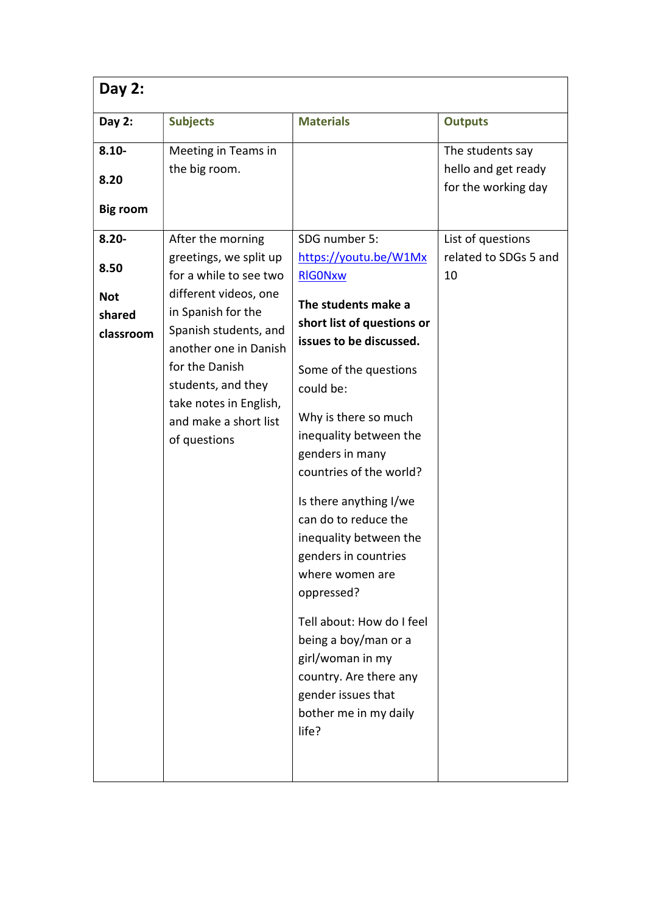| Day 2:                                                |                                                                                                                                                                                                                                                                                   |                                                                                                                                                                                                                                                                                                                                                                                                                                                                                                                                                                                |                                                                |
|-------------------------------------------------------|-----------------------------------------------------------------------------------------------------------------------------------------------------------------------------------------------------------------------------------------------------------------------------------|--------------------------------------------------------------------------------------------------------------------------------------------------------------------------------------------------------------------------------------------------------------------------------------------------------------------------------------------------------------------------------------------------------------------------------------------------------------------------------------------------------------------------------------------------------------------------------|----------------------------------------------------------------|
| Day 2:                                                | <b>Subjects</b>                                                                                                                                                                                                                                                                   | <b>Materials</b>                                                                                                                                                                                                                                                                                                                                                                                                                                                                                                                                                               | <b>Outputs</b>                                                 |
| $8.10 -$<br>8.20<br><b>Big room</b>                   | Meeting in Teams in<br>the big room.                                                                                                                                                                                                                                              |                                                                                                                                                                                                                                                                                                                                                                                                                                                                                                                                                                                | The students say<br>hello and get ready<br>for the working day |
| $8.20 -$<br>8.50<br><b>Not</b><br>shared<br>classroom | After the morning<br>greetings, we split up<br>for a while to see two<br>different videos, one<br>in Spanish for the<br>Spanish students, and<br>another one in Danish<br>for the Danish<br>students, and they<br>take notes in English,<br>and make a short list<br>of questions | SDG number 5:<br>https://youtu.be/W1Mx<br><b>RIGONxw</b><br>The students make a<br>short list of questions or<br>issues to be discussed.<br>Some of the questions<br>could be:<br>Why is there so much<br>inequality between the<br>genders in many<br>countries of the world?<br>Is there anything I/we<br>can do to reduce the<br>inequality between the<br>genders in countries<br>where women are<br>oppressed?<br>Tell about: How do I feel<br>being a boy/man or a<br>girl/woman in my<br>country. Are there any<br>gender issues that<br>bother me in my daily<br>life? | List of questions<br>related to SDGs 5 and<br>10               |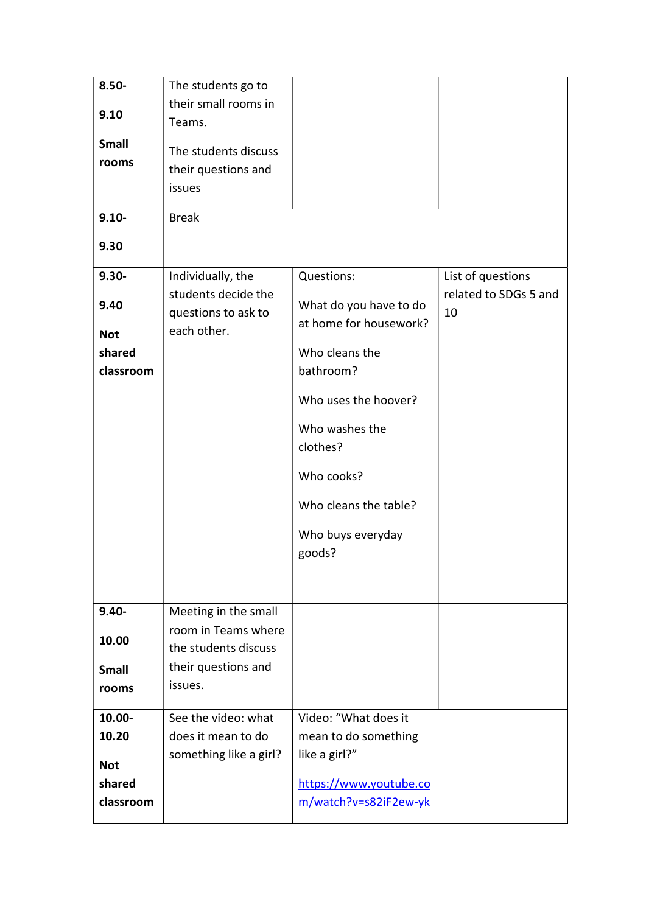| $8.50 -$     | The students go to     |                                                  |                       |
|--------------|------------------------|--------------------------------------------------|-----------------------|
|              | their small rooms in   |                                                  |                       |
| 9.10         | Teams.                 |                                                  |                       |
| <b>Small</b> |                        |                                                  |                       |
| rooms        | The students discuss   |                                                  |                       |
|              | their questions and    |                                                  |                       |
|              | issues                 |                                                  |                       |
| $9.10 -$     | <b>Break</b>           |                                                  |                       |
|              |                        |                                                  |                       |
| 9.30         |                        |                                                  |                       |
| $9.30 -$     | Individually, the      | Questions:                                       | List of questions     |
| 9.40         | students decide the    |                                                  | related to SDGs 5 and |
|              | questions to ask to    | What do you have to do<br>at home for housework? | 10                    |
| <b>Not</b>   | each other.            |                                                  |                       |
| shared       |                        | Who cleans the                                   |                       |
| classroom    |                        | bathroom?                                        |                       |
|              |                        | Who uses the hoover?                             |                       |
|              |                        |                                                  |                       |
|              |                        | Who washes the                                   |                       |
|              |                        | clothes?                                         |                       |
|              |                        | Who cooks?                                       |                       |
|              |                        | Who cleans the table?                            |                       |
|              |                        |                                                  |                       |
|              |                        | Who buys everyday                                |                       |
|              |                        | goods?                                           |                       |
|              |                        |                                                  |                       |
|              |                        |                                                  |                       |
| $9.40 -$     | Meeting in the small   |                                                  |                       |
| 10.00        | room in Teams where    |                                                  |                       |
|              | the students discuss   |                                                  |                       |
| <b>Small</b> | their questions and    |                                                  |                       |
| rooms        | issues.                |                                                  |                       |
| 10.00-       | See the video: what    | Video: "What does it                             |                       |
| 10.20        | does it mean to do     | mean to do something                             |                       |
|              | something like a girl? | like a girl?"                                    |                       |
| <b>Not</b>   |                        |                                                  |                       |
| shared       |                        | https://www.youtube.co                           |                       |
| classroom    |                        | m/watch?v=s82iF2ew-yk                            |                       |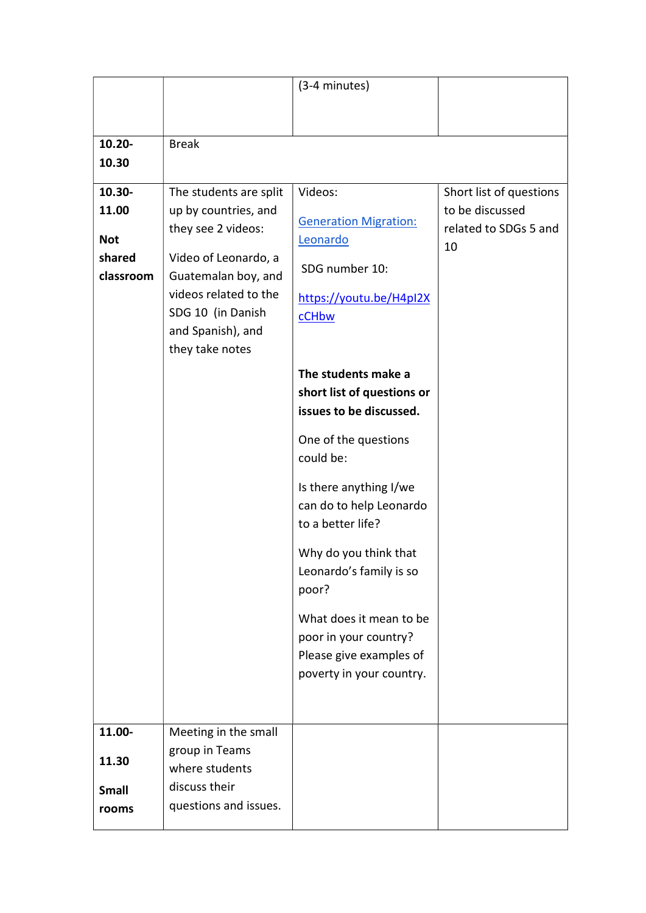|                       |                                  | (3-4 minutes)                            |                         |
|-----------------------|----------------------------------|------------------------------------------|-------------------------|
|                       |                                  |                                          |                         |
|                       |                                  |                                          |                         |
| $10.20 -$             | <b>Break</b>                     |                                          |                         |
| 10.30                 |                                  |                                          |                         |
| 10.30-                | The students are split           | Videos:                                  | Short list of questions |
| 11.00                 | up by countries, and             |                                          | to be discussed         |
| <b>Not</b>            | they see 2 videos:               | <b>Generation Migration:</b><br>Leonardo | related to SDGs 5 and   |
| shared                | Video of Leonardo, a             |                                          | 10                      |
| classroom             | Guatemalan boy, and              | SDG number 10:                           |                         |
|                       | videos related to the            | https://youtu.be/H4pI2X                  |                         |
|                       | SDG 10 (in Danish                | cCHbw                                    |                         |
|                       | and Spanish), and                |                                          |                         |
|                       | they take notes                  |                                          |                         |
|                       |                                  | The students make a                      |                         |
|                       |                                  | short list of questions or               |                         |
|                       |                                  | issues to be discussed.                  |                         |
|                       |                                  | One of the questions                     |                         |
|                       |                                  | could be:                                |                         |
|                       |                                  | Is there anything I/we                   |                         |
|                       |                                  | can do to help Leonardo                  |                         |
|                       |                                  | to a better life?                        |                         |
|                       |                                  | Why do you think that                    |                         |
|                       |                                  | Leonardo's family is so                  |                         |
|                       |                                  | poor?                                    |                         |
|                       |                                  | What does it mean to be                  |                         |
|                       |                                  | poor in your country?                    |                         |
|                       |                                  | Please give examples of                  |                         |
|                       |                                  | poverty in your country.                 |                         |
|                       |                                  |                                          |                         |
|                       |                                  |                                          |                         |
| 11.00-                | Meeting in the small             |                                          |                         |
| 11.30                 | group in Teams<br>where students |                                          |                         |
|                       | discuss their                    |                                          |                         |
| <b>Small</b><br>rooms | questions and issues.            |                                          |                         |
|                       |                                  |                                          |                         |